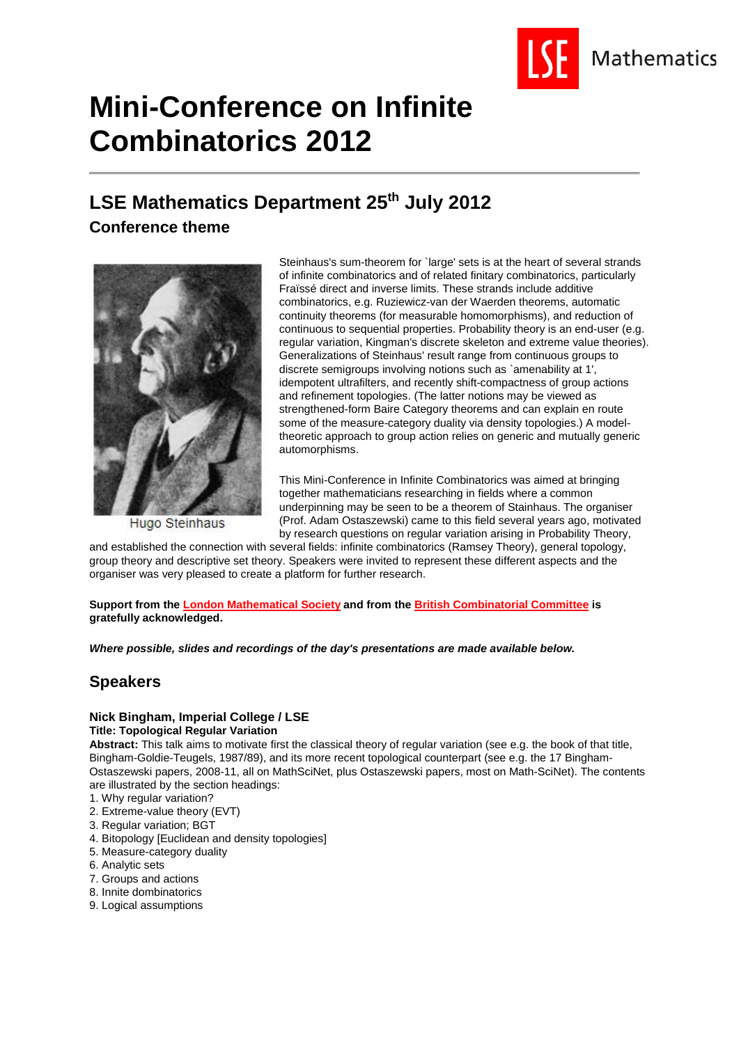

# **Mini-Conference on Infinite Combinatorics 2012**

# **LSE Mathematics Department 25th July 2012**

**Conference theme**



**Hugo Steinhaus** 

Steinhaus's sum-theorem for `large' sets is at the heart of several strands of infinite combinatorics and of related finitary combinatorics, particularly Fraïssé direct and inverse limits. These strands include additive combinatorics, e.g. Ruziewicz-van der Waerden theorems, automatic continuity theorems (for measurable homomorphisms), and reduction of continuous to sequential properties. Probability theory is an end-user (e.g. regular variation, Kingman's discrete skeleton and extreme value theories). Generalizations of Steinhaus' result range from continuous groups to discrete semigroups involving notions such as `amenability at 1', idempotent ultrafilters, and recently shift-compactness of group actions and refinement topologies. (The latter notions may be viewed as strengthened-form Baire Category theorems and can explain en route some of the measure-category duality via density topologies.) A modeltheoretic approach to group action relies on generic and mutually generic automorphisms.

This Mini-Conference in Infinite Combinatorics was aimed at bringing together mathematicians researching in fields where a common underpinning may be seen to be a theorem of Stainhaus. The organiser (Prof. Adam Ostaszewski) came to this field several years ago, motivated by research questions on regular variation arising in Probability Theory,

and established the connection with several fields: infinite combinatorics (Ramsey Theory), general topology, group theory and descriptive set theory. Speakers were invited to represent these different aspects and the organiser was very pleased to create a platform for further research.

**Support from the London Mathematical Society and from the British Combinatorial Committee is gratefully acknowledged.**

*Where possible, slides and recordings of the day's presentations are made available below.*

# **Speakers**

# **Nick Bingham, Imperial College / LSE**

# **Title: Topological Regular Variation**

**Abstract:** This talk aims to motivate first the classical theory of regular variation (see e.g. the book of that title, Bingham-Goldie-Teugels, 1987/89), and its more recent topological counterpart (see e.g. the 17 Bingham-Ostaszewski papers, 2008-11, all on MathSciNet, plus Ostaszewski papers, most on Math-SciNet). The contents are illustrated by the section headings:

- 1. Why regular variation?
- 2. Extreme-value theory (EVT)
- 3. Regular variation; BGT
- 4. Bitopology [Euclidean and density topologies]
- 5. Measure-category duality
- 6. Analytic sets
- 7. Groups and actions
- 8. Innite dombinatorics
- 9. Logical assumptions